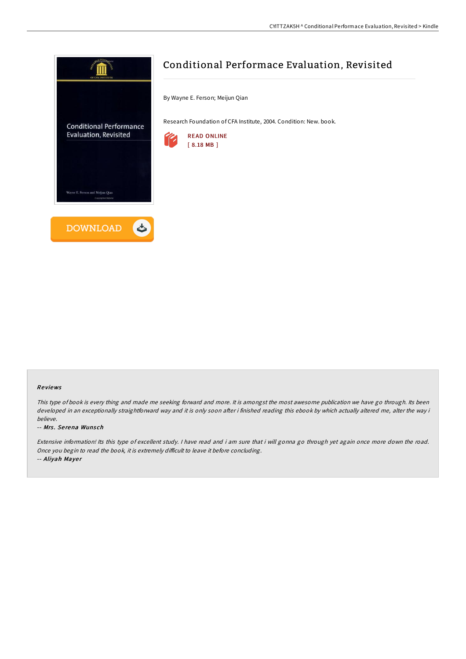

# Conditional Performace Evaluation, Revisited

By Wayne E. Ferson; Meijun Qian

Research Foundation of CFA Institute, 2004. Condition: New. book.



### Re views

This type of book is every thing and made me seeking forward and more. It is amongst the most awesome publication we have go through. Its been developed in an exceptionally straightforward way and it is only soon after i finished reading this ebook by which actually altered me, alter the way i believe.

#### -- Mrs. Serena Wunsch

Extensive information! Its this type of excellent study. <sup>I</sup> have read and i am sure that i will gonna go through yet again once more down the road. Once you begin to read the book, it is extremely difficult to leave it before concluding. -- Aliyah Mayer